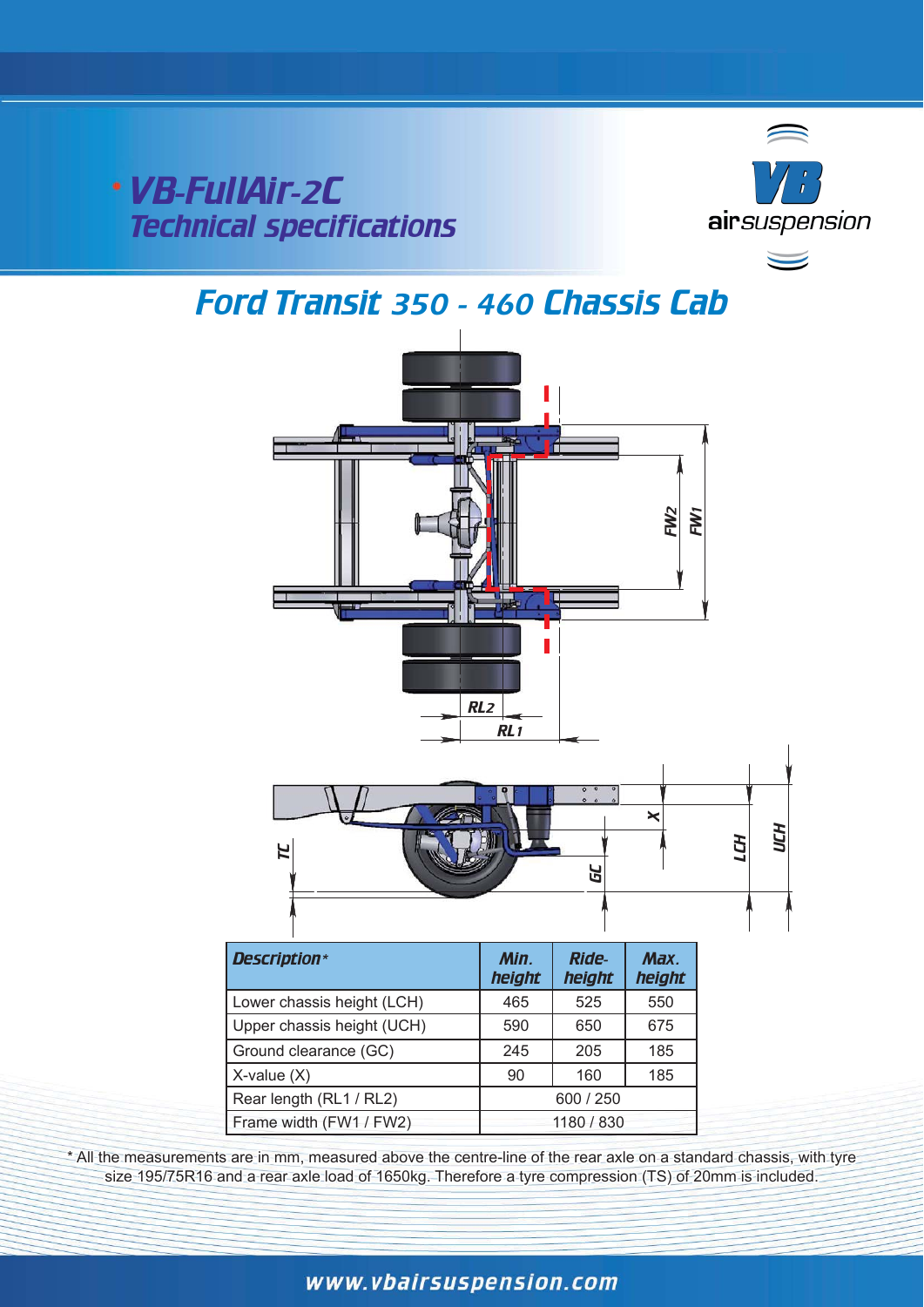VB-FullAir-2C Technical specifications



# Ford Transit 350 - 460 Chassis Cab



\* All the measurements are in mm, measured above the centre-line of the rear axle on a standard chassis, with tyre size 195/75R16 and a rear axle load of 1650kg. Therefore a tyre compression (TS) of 20mm is included.

### www.vbairsuspension.com